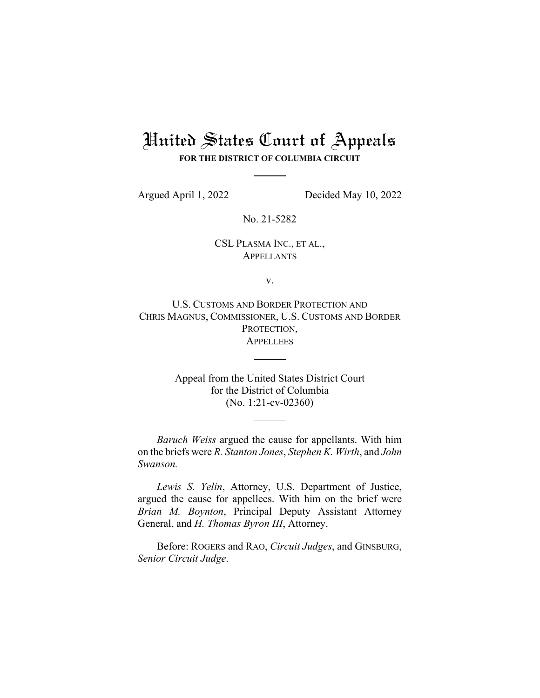# United States Court of Appeals

**FOR THE DISTRICT OF COLUMBIA CIRCUIT**

Argued April 1, 2022 Decided May 10, 2022

No. 21-5282

#### CSL PLASMA INC., ET AL., APPELLANTS

v.

U.S. CUSTOMS AND BORDER PROTECTION AND CHRIS MAGNUS, COMMISSIONER, U.S. CUSTOMS AND BORDER PROTECTION, **APPELLEES** 

> Appeal from the United States District Court for the District of Columbia (No. 1:21-cv-02360)

*Baruch Weiss* argued the cause for appellants. With him on the briefs were *R. Stanton Jones*, *Stephen K. Wirth*, and *John Swanson.* 

*Lewis S. Yelin*, Attorney, U.S. Department of Justice, argued the cause for appellees. With him on the brief were *Brian M. Boynton*, Principal Deputy Assistant Attorney General, and *H. Thomas Byron III*, Attorney.

Before: ROGERS and RAO, *Circuit Judges*, and GINSBURG, *Senior Circuit Judge*.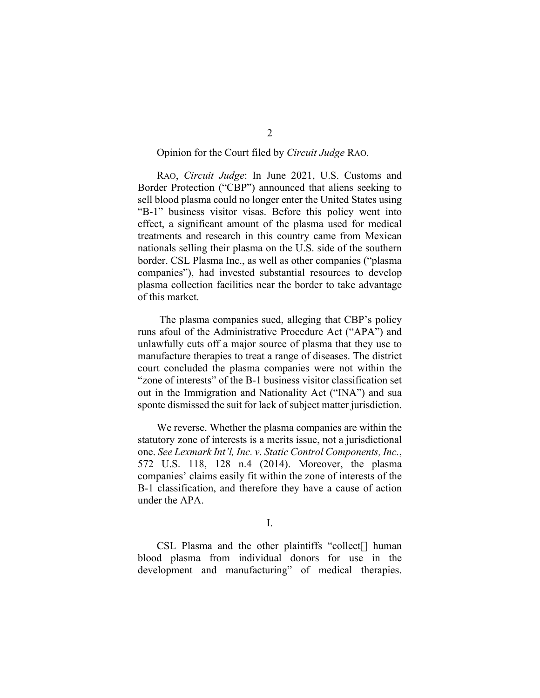#### Opinion for the Court filed by *Circuit Judge* RAO.

RAO, *Circuit Judge*: In June 2021, U.S. Customs and Border Protection ("CBP") announced that aliens seeking to sell blood plasma could no longer enter the United States using "B‑1" business visitor visas. Before this policy went into effect, a significant amount of the plasma used for medical treatments and research in this country came from Mexican nationals selling their plasma on the U.S. side of the southern border. CSL Plasma Inc., as well as other companies ("plasma companies"), had invested substantial resources to develop plasma collection facilities near the border to take advantage of this market.

 The plasma companies sued, alleging that CBP's policy runs afoul of the Administrative Procedure Act ("APA") and unlawfully cuts off a major source of plasma that they use to manufacture therapies to treat a range of diseases. The district court concluded the plasma companies were not within the "zone of interests" of the B-1 business visitor classification set out in the Immigration and Nationality Act ("INA") and sua sponte dismissed the suit for lack of subject matter jurisdiction.

We reverse. Whether the plasma companies are within the statutory zone of interests is a merits issue, not a jurisdictional one. *See Lexmark Int'l, Inc. v. Static Control Components, Inc.*, 572 U.S. 118, 128 n.4 (2014). Moreover, the plasma companies' claims easily fit within the zone of interests of the B–1 classification, and therefore they have a cause of action under the APA.

I.

 CSL Plasma and the other plaintiffs "collect[] human blood plasma from individual donors for use in the development and manufacturing" of medical therapies.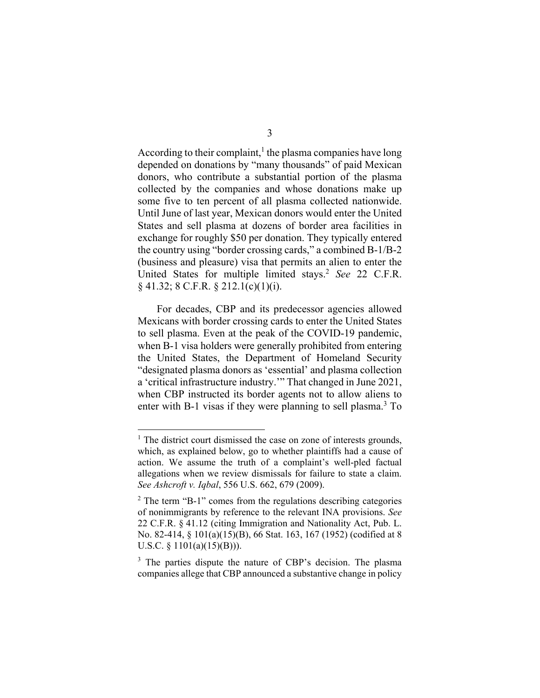According to their complaint, $<sup>1</sup>$  the plasma companies have long</sup> depended on donations by "many thousands" of paid Mexican donors, who contribute a substantial portion of the plasma collected by the companies and whose donations make up some five to ten percent of all plasma collected nationwide. Until June of last year, Mexican donors would enter the United States and sell plasma at dozens of border area facilities in exchange for roughly \$50 per donation. They typically entered the country using "border crossing cards," a combined B-1/B-2 (business and pleasure) visa that permits an alien to enter the United States for multiple limited stays.2 *See* 22 C.F.R.  $\S$  41.32; 8 C.F.R.  $\S$  212.1(c)(1)(i).

For decades, CBP and its predecessor agencies allowed Mexicans with border crossing cards to enter the United States to sell plasma. Even at the peak of the COVID-19 pandemic, when B-1 visa holders were generally prohibited from entering the United States, the Department of Homeland Security "designated plasma donors as 'essential' and plasma collection a 'critical infrastructure industry.'" That changed in June 2021, when CBP instructed its border agents not to allow aliens to enter with B-1 visas if they were planning to sell plasma.<sup>3</sup> To

<sup>&</sup>lt;sup>1</sup> The district court dismissed the case on zone of interests grounds, which, as explained below, go to whether plaintiffs had a cause of action. We assume the truth of a complaint's well-pled factual allegations when we review dismissals for failure to state a claim. *See Ashcroft v. Iqbal*, 556 U.S. 662, 679 (2009).

 $2$  The term "B-1" comes from the regulations describing categories of nonimmigrants by reference to the relevant INA provisions. *See*  22 C.F.R. § 41.12 (citing Immigration and Nationality Act, Pub. L. No. 82-414, § 101(a)(15)(B), 66 Stat. 163, 167 (1952) (codified at 8 U.S.C. §  $1101(a)(15)(B))$ ).

<sup>&</sup>lt;sup>3</sup> The parties dispute the nature of CBP's decision. The plasma companies allege that CBP announced a substantive change in policy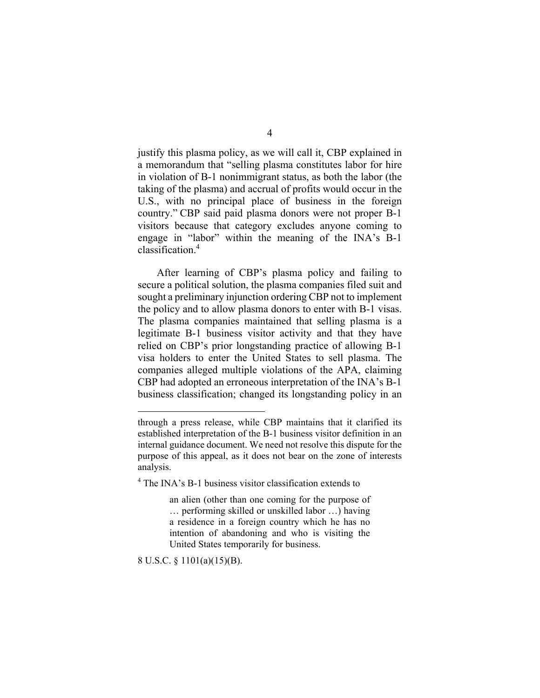justify this plasma policy, as we will call it, CBP explained in a memorandum that "selling plasma constitutes labor for hire in violation of B-1 nonimmigrant status, as both the labor (the taking of the plasma) and accrual of profits would occur in the U.S., with no principal place of business in the foreign country." CBP said paid plasma donors were not proper B-1 visitors because that category excludes anyone coming to engage in "labor" within the meaning of the INA's B-1 classification.4

After learning of CBP's plasma policy and failing to secure a political solution, the plasma companies filed suit and sought a preliminary injunction ordering CBP not to implement the policy and to allow plasma donors to enter with B-1 visas. The plasma companies maintained that selling plasma is a legitimate B–1 business visitor activity and that they have relied on CBP's prior longstanding practice of allowing B-1 visa holders to enter the United States to sell plasma. The companies alleged multiple violations of the APA, claiming CBP had adopted an erroneous interpretation of the INA's B-1 business classification; changed its longstanding policy in an

8 U.S.C. § 1101(a)(15)(B).

through a press release, while CBP maintains that it clarified its established interpretation of the B‑1 business visitor definition in an internal guidance document. We need not resolve this dispute for the purpose of this appeal, as it does not bear on the zone of interests analysis.

<sup>&</sup>lt;sup>4</sup> The INA's B-1 business visitor classification extends to

an alien (other than one coming for the purpose of … performing skilled or unskilled labor …) having a residence in a foreign country which he has no intention of abandoning and who is visiting the United States temporarily for business.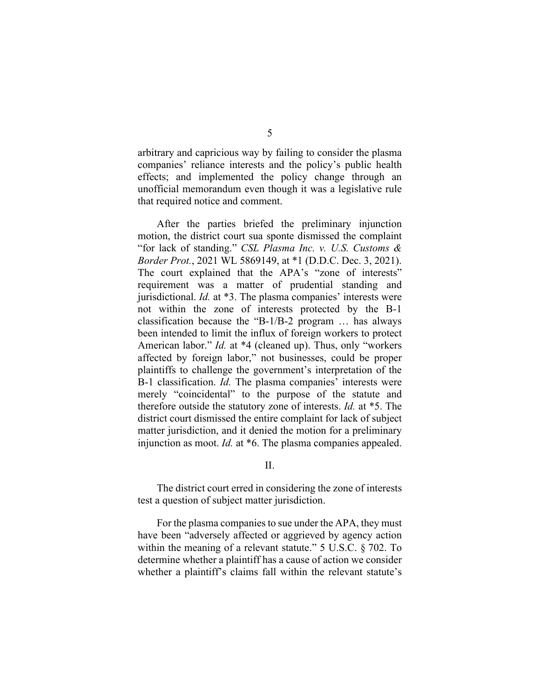arbitrary and capricious way by failing to consider the plasma companies' reliance interests and the policy's public health effects; and implemented the policy change through an unofficial memorandum even though it was a legislative rule that required notice and comment.

After the parties briefed the preliminary injunction motion, the district court sua sponte dismissed the complaint "for lack of standing." *CSL Plasma Inc. v. U.S. Customs & Border Prot.*, 2021 WL 5869149, at \*1 (D.D.C. Dec. 3, 2021). The court explained that the APA's "zone of interests" requirement was a matter of prudential standing and jurisdictional. *Id.* at \*3. The plasma companies' interests were not within the zone of interests protected by the B-1 classification because the "B-1/B-2 program  $\ldots$  has always been intended to limit the influx of foreign workers to protect American labor." *Id.* at \*4 (cleaned up). Thus, only "workers affected by foreign labor," not businesses, could be proper plaintiffs to challenge the government's interpretation of the B‑1 classification. *Id.* The plasma companies' interests were merely "coincidental" to the purpose of the statute and therefore outside the statutory zone of interests. *Id.* at \*5. The district court dismissed the entire complaint for lack of subject matter jurisdiction, and it denied the motion for a preliminary injunction as moot. *Id.* at \*6. The plasma companies appealed.

II.

The district court erred in considering the zone of interests test a question of subject matter jurisdiction.

For the plasma companies to sue under the APA, they must have been "adversely affected or aggrieved by agency action within the meaning of a relevant statute." 5 U.S.C. § 702. To determine whether a plaintiff has a cause of action we consider whether a plaintiff's claims fall within the relevant statute's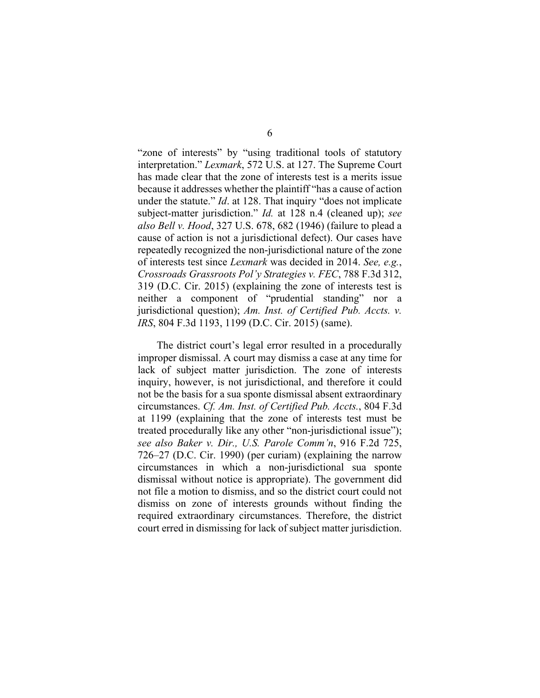"zone of interests" by "using traditional tools of statutory interpretation." *Lexmark*, 572 U.S. at 127. The Supreme Court has made clear that the zone of interests test is a merits issue because it addresses whether the plaintiff "has a cause of action under the statute." *Id*. at 128. That inquiry "does not implicate subject-matter jurisdiction." *Id.* at 128 n.4 (cleaned up); *see also Bell v. Hood*, 327 U.S. 678, 682 (1946) (failure to plead a cause of action is not a jurisdictional defect). Our cases have repeatedly recognized the non-jurisdictional nature of the zone of interests test since *Lexmark* was decided in 2014. *See, e.g.*, *Crossroads Grassroots Pol'y Strategies v. FEC*, 788 F.3d 312, 319 (D.C. Cir. 2015) (explaining the zone of interests test is neither a component of "prudential standing" nor a jurisdictional question); *Am. Inst. of Certified Pub. Accts. v. IRS*, 804 F.3d 1193, 1199 (D.C. Cir. 2015) (same).

The district court's legal error resulted in a procedurally improper dismissal. A court may dismiss a case at any time for lack of subject matter jurisdiction. The zone of interests inquiry, however, is not jurisdictional, and therefore it could not be the basis for a sua sponte dismissal absent extraordinary circumstances. *Cf. Am. Inst. of Certified Pub. Accts.*, 804 F.3d at 1199 (explaining that the zone of interests test must be treated procedurally like any other "non-jurisdictional issue"); *see also Baker v. Dir., U.S. Parole Comm'n*, 916 F.2d 725, 726–27 (D.C. Cir. 1990) (per curiam) (explaining the narrow circumstances in which a non-jurisdictional sua sponte dismissal without notice is appropriate). The government did not file a motion to dismiss, and so the district court could not dismiss on zone of interests grounds without finding the required extraordinary circumstances. Therefore, the district court erred in dismissing for lack of subject matter jurisdiction.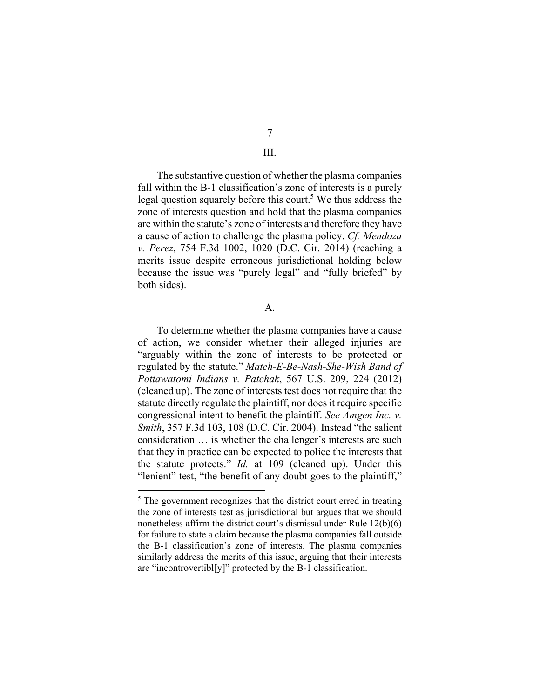## 7

#### III.

The substantive question of whether the plasma companies fall within the B-1 classification's zone of interests is a purely legal question squarely before this court.<sup>5</sup> We thus address the zone of interests question and hold that the plasma companies are within the statute's zone of interests and therefore they have a cause of action to challenge the plasma policy. *Cf. Mendoza v. Perez*, 754 F.3d 1002, 1020 (D.C. Cir. 2014) (reaching a merits issue despite erroneous jurisdictional holding below because the issue was "purely legal" and "fully briefed" by both sides).

#### $\mathbf{A}$ .

To determine whether the plasma companies have a cause of action, we consider whether their alleged injuries are "arguably within the zone of interests to be protected or regulated by the statute." *Match-E-Be-Nash-She-Wish Band of Pottawatomi Indians v. Patchak*, 567 U.S. 209, 224 (2012) (cleaned up). The zone of interests test does not require that the statute directly regulate the plaintiff, nor does it require specific congressional intent to benefit the plaintiff. *See Amgen Inc. v. Smith*, 357 F.3d 103, 108 (D.C. Cir. 2004). Instead "the salient consideration … is whether the challenger's interests are such that they in practice can be expected to police the interests that the statute protects." *Id.* at 109 (cleaned up). Under this "lenient" test, "the benefit of any doubt goes to the plaintiff,"

 $<sup>5</sup>$  The government recognizes that the district court erred in treating</sup> the zone of interests test as jurisdictional but argues that we should nonetheless affirm the district court's dismissal under Rule 12(b)(6) for failure to state a claim because the plasma companies fall outside the B‑1 classification's zone of interests. The plasma companies similarly address the merits of this issue, arguing that their interests are "incontrovertibl $[y]$ " protected by the B-1 classification.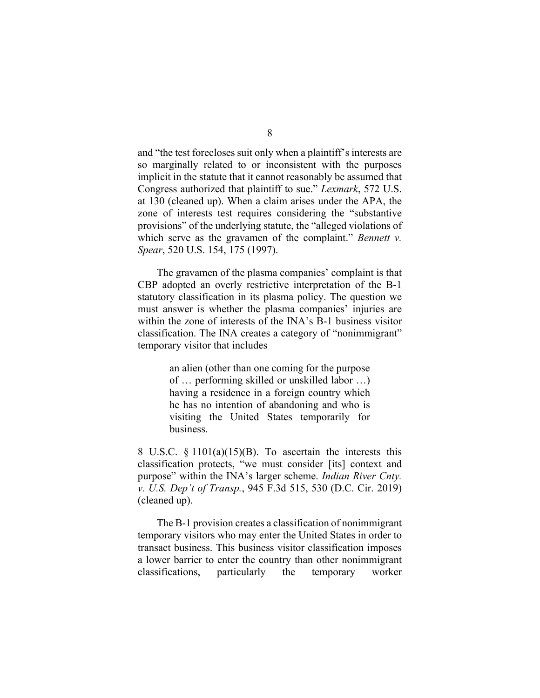and "the test forecloses suit only when a plaintiff's interests are so marginally related to or inconsistent with the purposes implicit in the statute that it cannot reasonably be assumed that Congress authorized that plaintiff to sue." *Lexmark*, 572 U.S. at 130 (cleaned up). When a claim arises under the APA, the zone of interests test requires considering the "substantive provisions" of the underlying statute, the "alleged violations of which serve as the gravamen of the complaint." *Bennett v. Spear*, 520 U.S. 154, 175 (1997).

The gravamen of the plasma companies' complaint is that CBP adopted an overly restrictive interpretation of the B-1 statutory classification in its plasma policy. The question we must answer is whether the plasma companies' injuries are within the zone of interests of the INA's B-1 business visitor classification. The INA creates a category of "nonimmigrant" temporary visitor that includes

> an alien (other than one coming for the purpose of … performing skilled or unskilled labor …) having a residence in a foreign country which he has no intention of abandoning and who is visiting the United States temporarily for business.

8 U.S.C.  $\frac{$1101(a)(15)(B)}{B}$ . To ascertain the interests this classification protects, "we must consider [its] context and purpose" within the INA's larger scheme. *Indian River Cnty. v. U.S. Dep't of Transp.*, 945 F.3d 515, 530 (D.C. Cir. 2019) (cleaned up).

The B–1 provision creates a classification of nonimmigrant temporary visitors who may enter the United States in order to transact business. This business visitor classification imposes a lower barrier to enter the country than other nonimmigrant classifications, particularly the temporary worker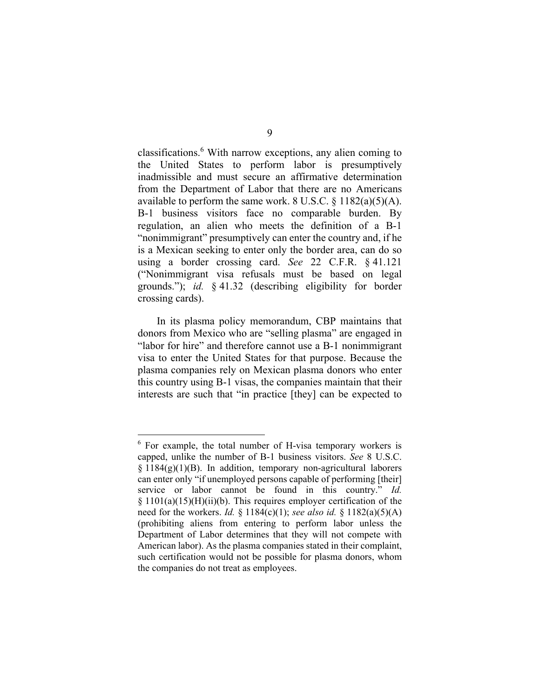classifications.<sup>6</sup> With narrow exceptions, any alien coming to the United States to perform labor is presumptively inadmissible and must secure an affirmative determination from the Department of Labor that there are no Americans available to perform the same work. 8 U.S.C.  $\S$  1182(a)(5)(A). B-1 business visitors face no comparable burden. By regulation, an alien who meets the definition of a B-1 "nonimmigrant" presumptively can enter the country and, if he is a Mexican seeking to enter only the border area, can do so using a border crossing card. *See* 22 C.F.R. § 41.121 ("Nonimmigrant visa refusals must be based on legal grounds."); *id.* § 41.32 (describing eligibility for border crossing cards).

In its plasma policy memorandum, CBP maintains that donors from Mexico who are "selling plasma" are engaged in "labor for hire" and therefore cannot use a B‑1 nonimmigrant visa to enter the United States for that purpose. Because the plasma companies rely on Mexican plasma donors who enter this country using B‑1 visas, the companies maintain that their interests are such that "in practice [they] can be expected to

 $6$  For example, the total number of H-visa temporary workers is capped, unlike the number of B‑1 business visitors. *See* 8 U.S.C.  $\S 1184(g)(1)(B)$ . In addition, temporary non-agricultural laborers can enter only "if unemployed persons capable of performing [their] service or labor cannot be found in this country." *Id.*  $§ 1101(a)(15)(H)(ii)(b)$ . This requires employer certification of the need for the workers. *Id.* § 1184(c)(1); *see also id.* § 1182(a)(5)(A) (prohibiting aliens from entering to perform labor unless the Department of Labor determines that they will not compete with American labor). As the plasma companies stated in their complaint, such certification would not be possible for plasma donors, whom the companies do not treat as employees.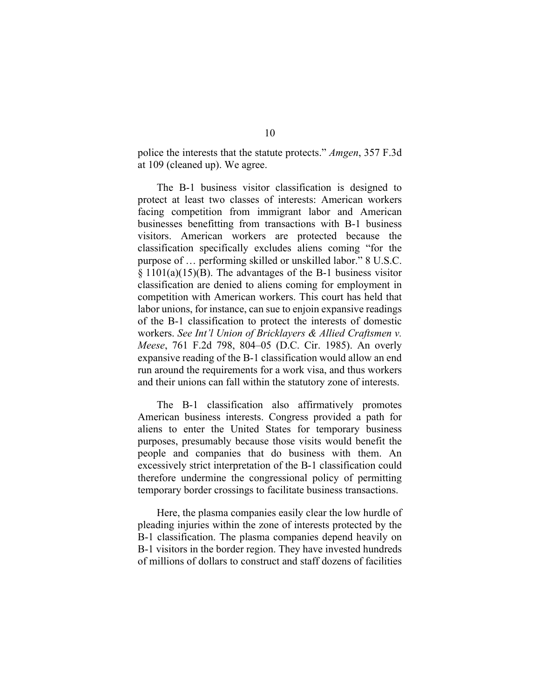police the interests that the statute protects." *Amgen*, 357 F.3d at 109 (cleaned up). We agree.

The B-1 business visitor classification is designed to protect at least two classes of interests: American workers facing competition from immigrant labor and American businesses benefitting from transactions with B-1 business visitors. American workers are protected because the classification specifically excludes aliens coming "for the purpose of … performing skilled or unskilled labor." 8 U.S.C.  $\S 1101(a)(15)(B)$ . The advantages of the B-1 business visitor classification are denied to aliens coming for employment in competition with American workers. This court has held that labor unions, for instance, can sue to enjoin expansive readings of the B‑1 classification to protect the interests of domestic workers. *See Int'l Union of Bricklayers & Allied Craftsmen v. Meese*, 761 F.2d 798, 804–05 (D.C. Cir. 1985). An overly expansive reading of the B-1 classification would allow an end run around the requirements for a work visa, and thus workers and their unions can fall within the statutory zone of interests.

The B‑1 classification also affirmatively promotes American business interests. Congress provided a path for aliens to enter the United States for temporary business purposes, presumably because those visits would benefit the people and companies that do business with them. An excessively strict interpretation of the B‑1 classification could therefore undermine the congressional policy of permitting temporary border crossings to facilitate business transactions.

Here, the plasma companies easily clear the low hurdle of pleading injuries within the zone of interests protected by the B-1 classification. The plasma companies depend heavily on B–1 visitors in the border region. They have invested hundreds of millions of dollars to construct and staff dozens of facilities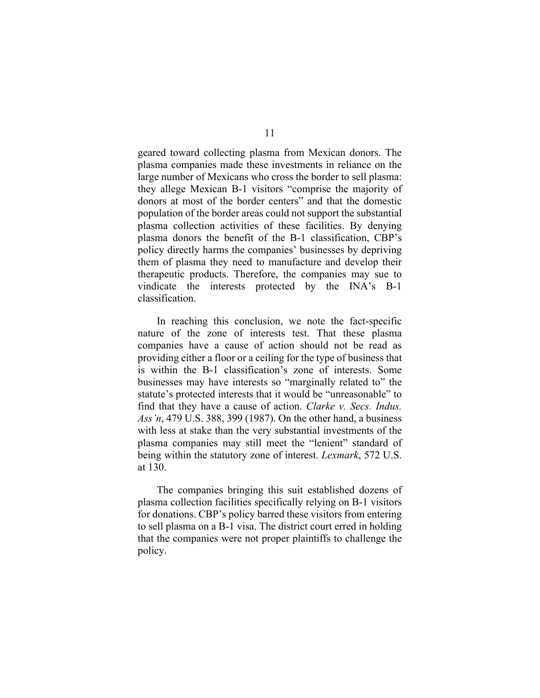geared toward collecting plasma from Mexican donors. The plasma companies made these investments in reliance on the large number of Mexicans who cross the border to sell plasma: they allege Mexican B‑1 visitors "comprise the majority of donors at most of the border centers" and that the domestic population of the border areas could not support the substantial plasma collection activities of these facilities. By denying plasma donors the benefit of the B‑1 classification, CBP's policy directly harms the companies' businesses by depriving them of plasma they need to manufacture and develop their therapeutic products. Therefore, the companies may sue to vindicate the interests protected by the INA's B-1 classification.

In reaching this conclusion, we note the fact-specific nature of the zone of interests test. That these plasma companies have a cause of action should not be read as providing either a floor or a ceiling for the type of business that is within the B‑1 classification's zone of interests. Some businesses may have interests so "marginally related to" the statute's protected interests that it would be "unreasonable" to find that they have a cause of action. *Clarke v. Secs. Indus. Ass'n*, 479 U.S. 388, 399 (1987). On the other hand, a business with less at stake than the very substantial investments of the plasma companies may still meet the "lenient" standard of being within the statutory zone of interest. *Lexmark*, 572 U.S. at 130.

The companies bringing this suit established dozens of plasma collection facilities specifically relying on B‑1 visitors for donations. CBP's policy barred these visitors from entering to sell plasma on a B‑1 visa. The district court erred in holding that the companies were not proper plaintiffs to challenge the policy.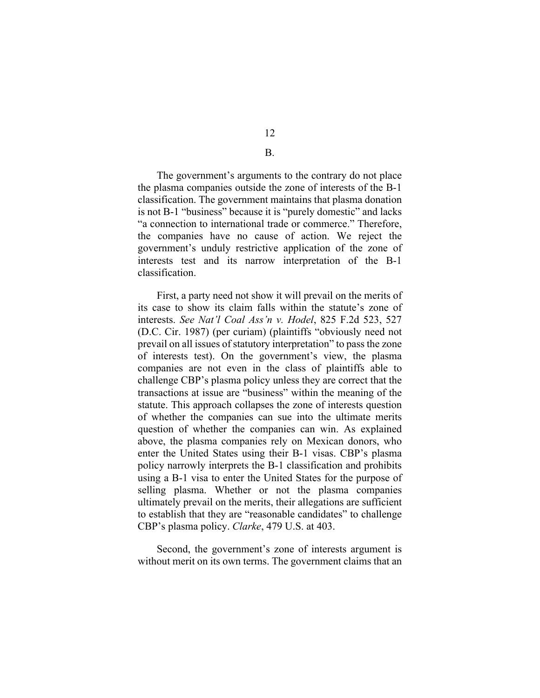12

#### B.

 The government's arguments to the contrary do not place the plasma companies outside the zone of interests of the B‑1 classification. The government maintains that plasma donation is not B-1 "business" because it is "purely domestic" and lacks "a connection to international trade or commerce." Therefore, the companies have no cause of action. We reject the government's unduly restrictive application of the zone of interests test and its narrow interpretation of the B-1 classification.

 First, a party need not show it will prevail on the merits of its case to show its claim falls within the statute's zone of interests. *See Nat'l Coal Ass'n v. Hodel*, 825 F.2d 523, 527 (D.C. Cir. 1987) (per curiam) (plaintiffs "obviously need not prevail on all issues of statutory interpretation" to pass the zone of interests test). On the government's view, the plasma companies are not even in the class of plaintiffs able to challenge CBP's plasma policy unless they are correct that the transactions at issue are "business" within the meaning of the statute. This approach collapses the zone of interests question of whether the companies can sue into the ultimate merits question of whether the companies can win. As explained above, the plasma companies rely on Mexican donors, who enter the United States using their B-1 visas. CBP's plasma policy narrowly interprets the B‑1 classification and prohibits using a B-1 visa to enter the United States for the purpose of selling plasma. Whether or not the plasma companies ultimately prevail on the merits, their allegations are sufficient to establish that they are "reasonable candidates" to challenge CBP's plasma policy. *Clarke*, 479 U.S. at 403.

 Second, the government's zone of interests argument is without merit on its own terms. The government claims that an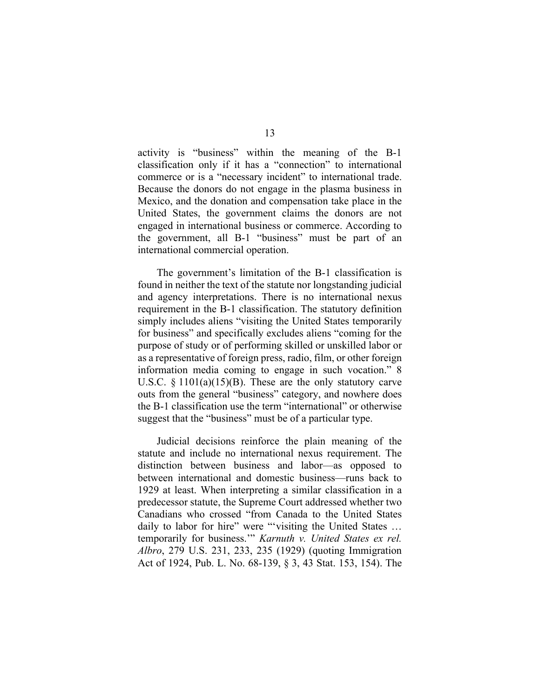activity is "business" within the meaning of the B-1 classification only if it has a "connection" to international commerce or is a "necessary incident" to international trade. Because the donors do not engage in the plasma business in Mexico, and the donation and compensation take place in the United States, the government claims the donors are not engaged in international business or commerce. According to the government, all B-1 "business" must be part of an international commercial operation.

The government's limitation of the B-1 classification is found in neither the text of the statute nor longstanding judicial and agency interpretations. There is no international nexus requirement in the B-1 classification. The statutory definition simply includes aliens "visiting the United States temporarily for business" and specifically excludes aliens "coming for the purpose of study or of performing skilled or unskilled labor or as a representative of foreign press, radio, film, or other foreign information media coming to engage in such vocation." 8 U.S.C.  $\S$  1101(a)(15)(B). These are the only statutory carve outs from the general "business" category, and nowhere does the B‑1 classification use the term "international" or otherwise suggest that the "business" must be of a particular type.

Judicial decisions reinforce the plain meaning of the statute and include no international nexus requirement. The distinction between business and labor—as opposed to between international and domestic business—runs back to 1929 at least. When interpreting a similar classification in a predecessor statute, the Supreme Court addressed whether two Canadians who crossed "from Canada to the United States daily to labor for hire" were "'visiting the United States ... temporarily for business.'" *Karnuth v. United States ex rel. Albro*, 279 U.S. 231, 233, 235 (1929) (quoting Immigration Act of 1924, Pub. L. No. 68-139, § 3, 43 Stat. 153, 154). The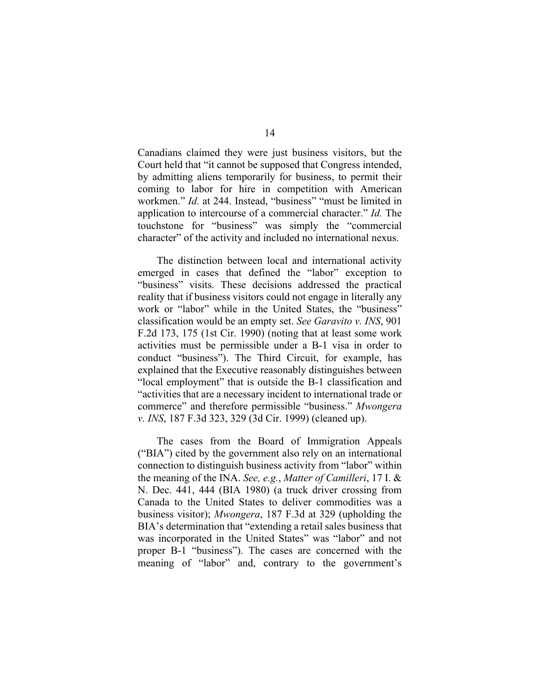Canadians claimed they were just business visitors, but the Court held that "it cannot be supposed that Congress intended, by admitting aliens temporarily for business, to permit their coming to labor for hire in competition with American workmen." *Id.* at 244. Instead, "business" "must be limited in application to intercourse of a commercial character." *Id.* The touchstone for "business" was simply the "commercial character" of the activity and included no international nexus.

The distinction between local and international activity emerged in cases that defined the "labor" exception to "business" visits. These decisions addressed the practical reality that if business visitors could not engage in literally any work or "labor" while in the United States, the "business" classification would be an empty set. *See Garavito v. INS*, 901 F.2d 173, 175 (1st Cir. 1990) (noting that at least some work activities must be permissible under a B‑1 visa in order to conduct "business"). The Third Circuit, for example, has explained that the Executive reasonably distinguishes between "local employment" that is outside the B‑1 classification and "activities that are a necessary incident to international trade or commerce" and therefore permissible "business." *Mwongera v. INS*, 187 F.3d 323, 329 (3d Cir. 1999) (cleaned up).

The cases from the Board of Immigration Appeals ("BIA") cited by the government also rely on an international connection to distinguish business activity from "labor" within the meaning of the INA. *See, e.g.*, *Matter of Camilleri*, 17 I. & N. Dec. 441, 444 (BIA 1980) (a truck driver crossing from Canada to the United States to deliver commodities was a business visitor); *Mwongera*, 187 F.3d at 329 (upholding the BIA's determination that "extending a retail sales business that was incorporated in the United States" was "labor" and not proper B‑1 "business"). The cases are concerned with the meaning of "labor" and, contrary to the government's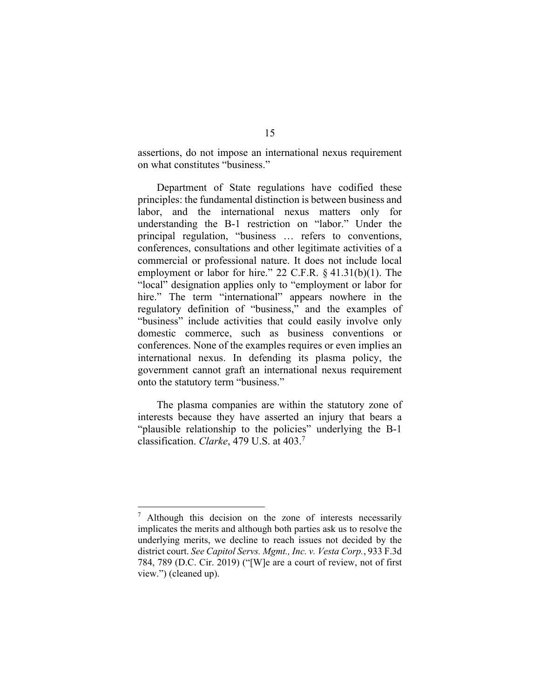assertions, do not impose an international nexus requirement on what constitutes "business."

 Department of State regulations have codified these principles: the fundamental distinction is between business and labor, and the international nexus matters only for understanding the B‑1 restriction on "labor." Under the principal regulation, "business … refers to conventions, conferences, consultations and other legitimate activities of a commercial or professional nature. It does not include local employment or labor for hire." 22 C.F.R. § 41.31(b)(1). The "local" designation applies only to "employment or labor for hire." The term "international" appears nowhere in the regulatory definition of "business," and the examples of "business" include activities that could easily involve only domestic commerce, such as business conventions or conferences. None of the examples requires or even implies an international nexus. In defending its plasma policy, the government cannot graft an international nexus requirement onto the statutory term "business."

The plasma companies are within the statutory zone of interests because they have asserted an injury that bears a "plausible relationship to the policies" underlying the B-1 classification. *Clarke*, 479 U.S. at 403.7

<sup>7</sup> Although this decision on the zone of interests necessarily implicates the merits and although both parties ask us to resolve the underlying merits, we decline to reach issues not decided by the district court. *See Capitol Servs. Mgmt., Inc. v. Vesta Corp.*, 933 F.3d 784, 789 (D.C. Cir. 2019) ("[W]e are a court of review, not of first view.") (cleaned up).